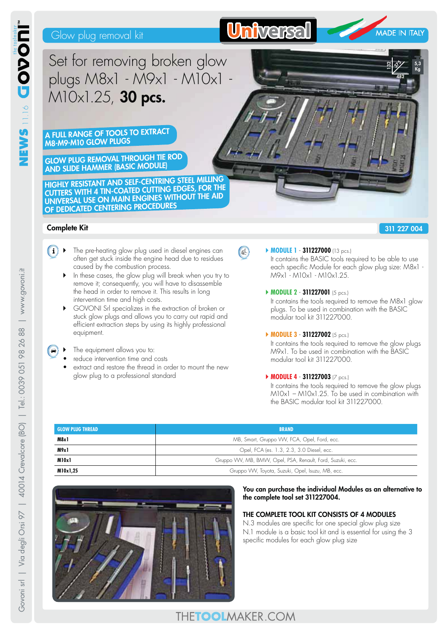# Glow plug removal kit



**5,3 Kg**

**482 375 132**

INS NS NS NS

| www.govoni.it

 $\frac{8}{10}$ 

98 26 8

Set for removing broken glow plugs M8x1 - M9x1 - M10x1 - M10x1.25, **30 pcs.**

**A FULL RANGE OF TOOLS TO EXTRACT M8-M9-M10 GLOW PLUGS**

**GLOW PLUG REMOVAL THROUGH TIE ROD AND SLIDE HAMMER (BASIC MODULE)**

**HIGHLY RESISTANT AND SELF-CENTRING STEEL MILLING CUTTERS WITH 4 TIN-COATED CUTTING EDGES, FOR THE UNIVERSAL USE ON MAIN ENGINES WITHOUT THE AID OF DEDICATED CENTERING PROCEDURES**

# **Complete Kit**

## **311 227 004**

- $\boxed{\mathbf{i}}$   $\blacktriangleright$  The pre-heating glow plug used in diesel engines can often get stuck inside the engine head due to residues caused by the combustion process.
	- In these cases, the glow plug will break when you try to remove it; consequently, you will have to disassemble the head in order to remove it. This results in long intervention time and high costs.
	- GOVONI Srl specializes in the extraction of broken or stuck glow plugs and allows you to carry out rapid and efficient extraction steps by using its highly professional equipment.
	- The equipment allows you to:
	- reduce intervention time and costs
	- extract and restore the thread in order to mount the new glow plug to a professional standard

**MODULE 1 - 311227000** (13 pcs.) It contains the BASIC tools required to be able to use

each specific Module for each glow plug size: M8x1 - M9x1 - M10x1 - M10x1.25.

`**MODULE 2** - **311227001** (5 pcs.)

It contains the tools required to remove the M8x1 glow plugs. To be used in combination with the BASIC modular tool kit 311227000.

### `**MODULE 3** - **311227002** (5 pcs.)

It contains the tools required to remove the glow plugs M9x1. To be used in combination with the BASIC modular tool kit 311227000.

## `**MODULE 4** - **311227003** (7 pcs.)

It contains the tools required to remove the glow plugs  $M10x1 - M10x1.25$ . To be used in combination with the BASIC modular tool kit 311227000.

| <b>GLOW PLUG THREAD</b> | <b>BRAND</b>                                               |
|-------------------------|------------------------------------------------------------|
| M8x1                    | MB, Smart, Gruppo VW, FCA, Opel, Ford, ecc.                |
| M9x1                    | Opel, FCA (es. 1.3, 2.3, 3.0 Diesel, ecc.                  |
| M10x1                   | Gruppo VW, MB, BMW, Opel, PSA, Renault, Ford, Suzuki, ecc. |
| M10x1,25                | Gruppo VW, Toyota, Suzuki, Opel, Isuzu, MB, ecc.           |

 $Q<sup>2</sup>$ 



### **You can purchase the individual Modules as an alternative to the complete tool set 311227004.**

## **THE COMPLETE TOOL KIT CONSISTS OF 4 MODULES**

N.3 modules are specific for one special glow plug size N.1 module is a basic tool kit and is essential for using the 3 specific modules for each glow plug size

# THETOOLMAKER.COM